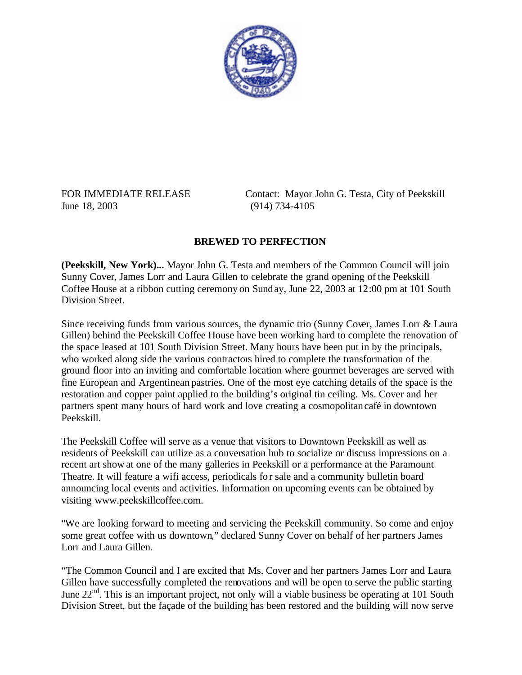

June 18, 2003 (914) 734-4105

FOR IMMEDIATE RELEASE Contact: Mayor John G. Testa, City of Peekskill

## **BREWED TO PERFECTION**

**(Peekskill, New York)...** Mayor John G. Testa and members of the Common Council will join Sunny Cover, James Lorr and Laura Gillen to celebrate the grand opening of the Peekskill Coffee House at a ribbon cutting ceremony on Sunday, June 22, 2003 at 12:00 pm at 101 South Division Street.

Since receiving funds from various sources, the dynamic trio (Sunny Cover, James Lorr & Laura Gillen) behind the Peekskill Coffee House have been working hard to complete the renovation of the space leased at 101 South Division Street. Many hours have been put in by the principals, who worked along side the various contractors hired to complete the transformation of the ground floor into an inviting and comfortable location where gourmet beverages are served with fine European and Argentinean pastries. One of the most eye catching details of the space is the restoration and copper paint applied to the building's original tin ceiling. Ms. Cover and her partners spent many hours of hard work and love creating a cosmopolitancafé in downtown Peekskill.

The Peekskill Coffee will serve as a venue that visitors to Downtown Peekskill as well as residents of Peekskill can utilize as a conversation hub to socialize or discuss impressions on a recent art show at one of the many galleries in Peekskill or a performance at the Paramount Theatre. It will feature a wifi access, periodicals for sale and a community bulletin board announcing local events and activities. Information on upcoming events can be obtained by visiting www.peekskillcoffee.com.

"We are looking forward to meeting and servicing the Peekskill community. So come and enjoy some great coffee with us downtown," declared Sunny Cover on behalf of her partners James Lorr and Laura Gillen.

"The Common Council and I are excited that Ms. Cover and her partners James Lorr and Laura Gillen have successfully completed the renovations and will be open to serve the public starting June  $22<sup>nd</sup>$ . This is an important project, not only will a viable business be operating at 101 South Division Street, but the façade of the building has been restored and the building will now serve